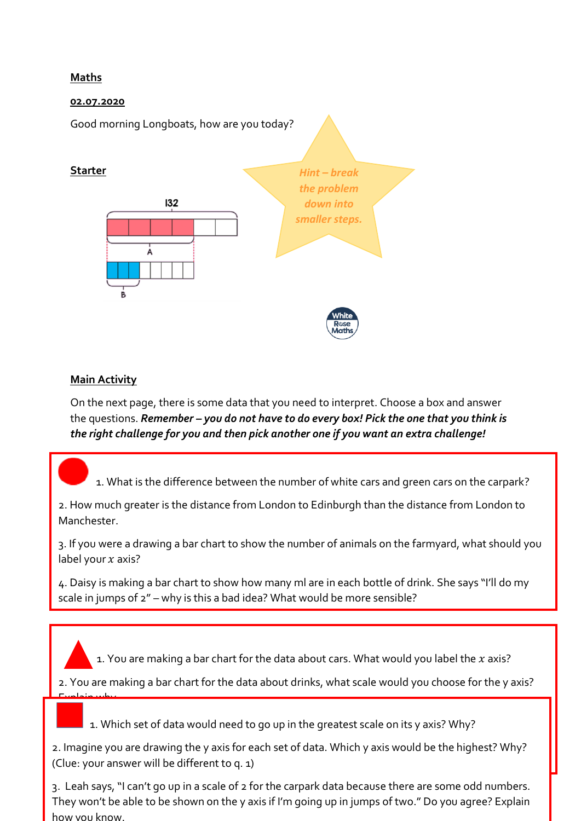## **Maths**

## **02.07.2020**



## **Main Activity**

On the next page, there is some data that you need to interpret. Choose a box and answer the questions. *Remember – you do not have to do every box! Pick the one that you think is the right challenge for you and then pick another one if you want an extra challenge!*

1. What is the difference between the number of white cars and green cars on the carpark?

2. How much greater is the distance from London to Edinburgh than the distance from London to **Manchester** 

3. If you were a drawing a bar chart to show the number of animals on the farmyard, what should you label your  $x$  axis?

4. Daisy is making a bar chart to show how many ml are in each bottle of drink. She says "I'll do my scale in jumps of 2" – why is this a bad idea? What would be more sensible?

1. You are making a bar chart for the data about cars. What would you label the  $x$  axis?

2. You are making a bar chart for the data about drinks, what scale would you choose for the y axis? Explain why.

 $\overline{\phantom{i} \phantom{i} \phantom{i} \phantom{i} }$  1. Which set of data would need to go up in the greatest scale on its y axis? Why?

2. Imagine you are drawing the y axis for each set of data. Which y axis would be the highest? Why? (Clue: your answer will be different to q. 1)

3. Leah says, "I can't go up in a scale of 2 for the carpark data because there are some odd numbers. They won't be able to be shown on the y axis if I'm going up in jumps of two." Do you agree? Explain how you know.